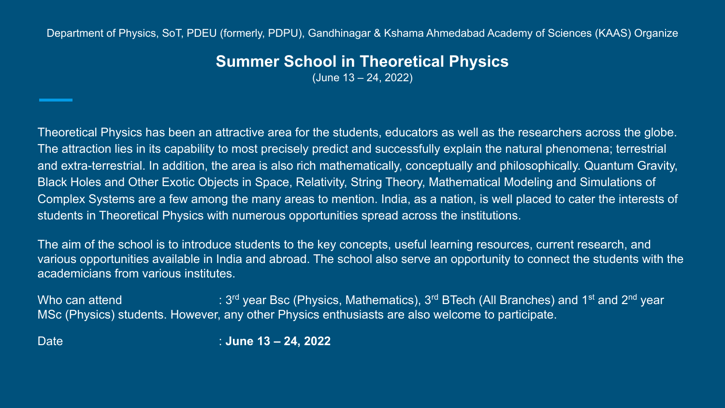Department of Physics, SoT, PDEU (formerly, PDPU), Gandhinagar & Kshama Ahmedabad Academy of Sciences (KAAS) Organize

# **Summer School in Theoretical Physics**

(June 13 – 24, 2022)

Theoretical Physics has been an attractive area for the students, educators as well as the researchers across the globe. The attraction lies in its capability to most precisely predict and successfully explain the natural phenomena; terrestrial and extra-terrestrial. In addition, the area is also rich mathematically, conceptually and philosophically. Quantum Gravity, Black Holes and Other Exotic Objects in Space, Relativity, String Theory, Mathematical Modeling and Simulations of Complex Systems are a few among the many areas to mention. India, as a nation, is well placed to cater the interests of students in Theoretical Physics with numerous opportunities spread across the institutions.

The aim of the school is to introduce students to the key concepts, useful learning resources, current research, and various opportunities available in India and abroad. The school also serve an opportunity to connect the students with the academicians from various institutes.

Who can attend  $: 3^{rd}$  year Bsc (Physics, Mathematics),  $3^{rd}$  BTech (All Branches) and 1<sup>st</sup> and 2<sup>nd</sup> year MSc (Physics) students. However, any other Physics enthusiasts are also welcome to participate.

Date : **June 13 – 24, 2022**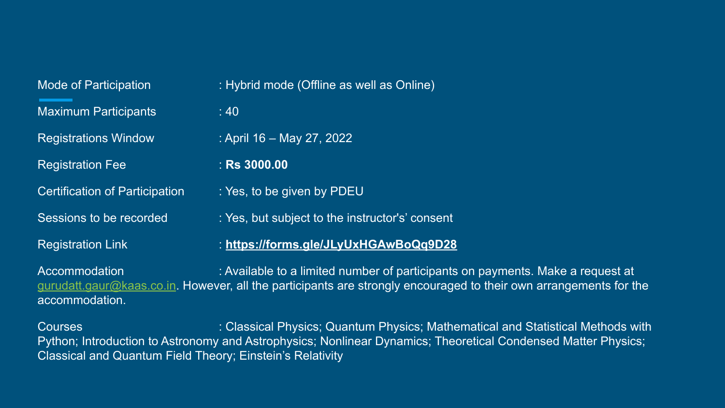| : Hybrid mode (Offline as well as Online)       |
|-------------------------------------------------|
| :40                                             |
| : April 16 – May 27, 2022                       |
| $:$ Rs 3000.00                                  |
| : Yes, to be given by PDEU                      |
| : Yes, but subject to the instructor's' consent |
| : https://forms.gle/JLyUxHGAwBoQq9D28           |
|                                                 |

Accommodation : Available to a limited number of participants on payments. Make a request at [gurudatt.gaur@kaas.co.in.](mailto:gurudatt.gaur@kaas.co.in) However, all the participants are strongly encouraged to their own arrangements for the accommodation.

Courses : Classical Physics; Quantum Physics; Mathematical and Statistical Methods with Python; Introduction to Astronomy and Astrophysics; Nonlinear Dynamics; Theoretical Condensed Matter Physics; Classical and Quantum Field Theory; Einstein's Relativity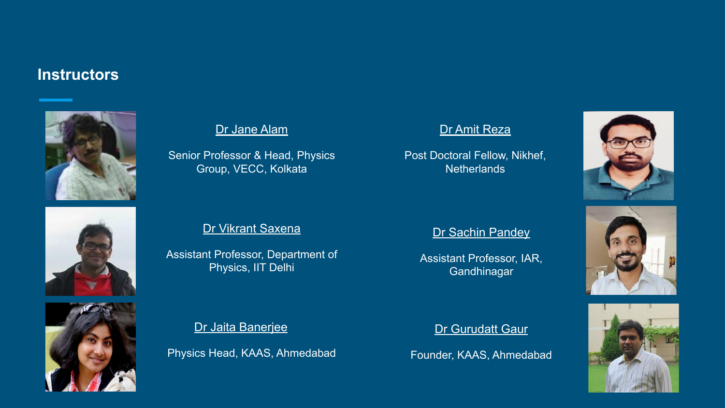# **Instructors**







## [Dr Jane Alam](https://pgweb.vecc.gov.in/activitycategories/peopledetails/16/1/)

Senior Professor & Head, Physics Group, VECC, Kolkata

### [Dr Vikrant Saxena](https://sites.google.com/site/aboutvikrant/home)

Assistant Professor, Department of Physics, IIT Delhi

[Dr Jaita Banerjee](https://kaas.co.in/faculty-members)

Physics Head, KAAS, Ahmedabad

### [Dr Amit Reza](https://www.linkedin.com/in/amit-reza-a8983064/?originalSubdomain=nl)

Post Doctoral Fellow, Nikhef, **Netherlands** 



#### [Dr Sachin Pandey](https://iar.ac.in/blog/faculties/sachinpandey/)

Assistant Professor, IAR, **Gandhinagar** 

#### [Dr Gurudatt Gaur](https://sites.google.com/view/gurudattgaur/)

Founder, KAAS, Ahmedabad



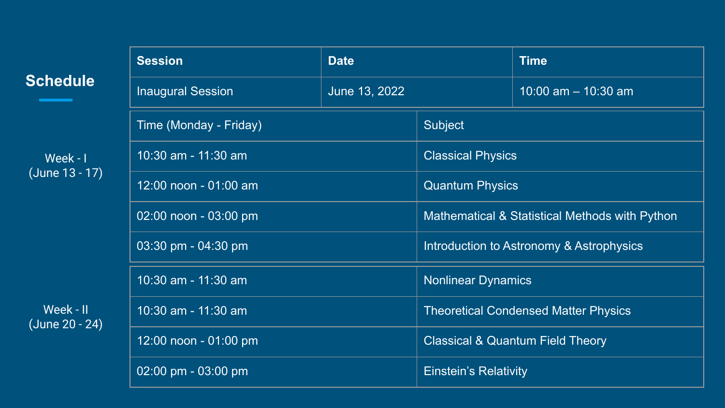| <b>Schedule</b>             | <b>Session</b>           | <b>Date</b>   |                                                | <b>Time</b>           |
|-----------------------------|--------------------------|---------------|------------------------------------------------|-----------------------|
|                             | <b>Inaugural Session</b> | June 13, 2022 |                                                | 10:00 am $-$ 10:30 am |
| Week - I<br>(June 13 - 17)  | Time (Monday - Friday)   |               | Subject                                        |                       |
|                             | 10:30 am - 11:30 am      |               | <b>Classical Physics</b>                       |                       |
|                             | 12:00 noon - 01:00 am    |               | <b>Quantum Physics</b>                         |                       |
|                             | 02:00 noon - 03:00 pm    |               | Mathematical & Statistical Methods with Python |                       |
| Week - II<br>(June 20 - 24) | 03:30 pm - 04:30 pm      |               | Introduction to Astronomy & Astrophysics       |                       |
|                             | 10:30 am - 11:30 am      |               | <b>Nonlinear Dynamics</b>                      |                       |
|                             | 10:30 am - 11:30 am      |               | <b>Theoretical Condensed Matter Physics</b>    |                       |
|                             | 12:00 noon - 01:00 pm    |               | <b>Classical &amp; Quantum Field Theory</b>    |                       |
|                             | 02:00 pm - 03:00 pm      |               | <b>Einstein's Relativity</b>                   |                       |